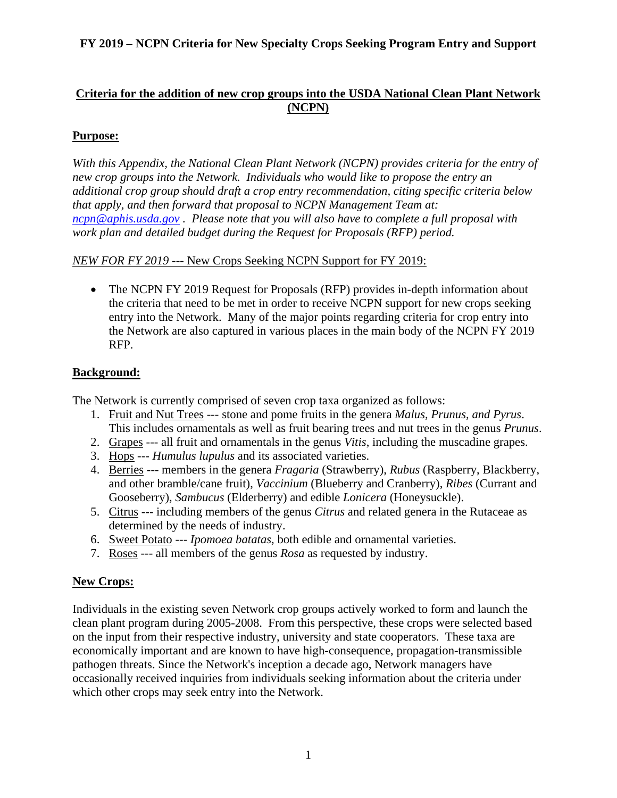### **Criteria for the addition of new crop groups into the USDA National Clean Plant Network (NCPN)**

# **Purpose:**

*With this Appendix, the National Clean Plant Network (NCPN) provides criteria for the entry of new crop groups into the Network. Individuals who would like to propose the entry an additional crop group should draft a crop entry recommendation, citing specific criteria below that apply, and then forward that proposal to NCPN Management Team at: [ncpn@aphis.usda.gov](mailto:ncpn@aphis.usda.gov) . Please note that you will also have to complete a full proposal with work plan and detailed budget during the Request for Proposals (RFP) period.*

#### *NEW FOR FY 2019* --- New Crops Seeking NCPN Support for FY 2019:

• The NCPN FY 2019 Request for Proposals (RFP) provides in-depth information about the criteria that need to be met in order to receive NCPN support for new crops seeking entry into the Network. Many of the major points regarding criteria for crop entry into the Network are also captured in various places in the main body of the NCPN FY 2019 RFP.

# **Background:**

The Network is currently comprised of seven crop taxa organized as follows:

- 1. Fruit and Nut Trees --- stone and pome fruits in the genera *Malus, Prunus, and Pyrus*. This includes ornamentals as well as fruit bearing trees and nut trees in the genus *Prunus*.
- 2. Grapes --- all fruit and ornamentals in the genus *Vitis*, including the muscadine grapes.
- 3. Hops --- *Humulus lupulus* and its associated varieties.
- 4. Berries --- members in the genera *Fragaria* (Strawberry), *Rubus* (Raspberry, Blackberry, and other bramble/cane fruit), *Vaccinium* (Blueberry and Cranberry), *Ribes* (Currant and Gooseberry), *Sambucus* (Elderberry) and edible *Lonicera* (Honeysuckle).
- 5. Citrus --- including members of the genus *Citrus* and related genera in the Rutaceae as determined by the needs of industry.
- 6. Sweet Potato --- *Ipomoea batatas*, both edible and ornamental varieties.
- 7. Roses --- all members of the genus *Rosa* as requested by industry.

# **New Crops:**

Individuals in the existing seven Network crop groups actively worked to form and launch the clean plant program during 2005-2008. From this perspective, these crops were selected based on the input from their respective industry, university and state cooperators. These taxa are economically important and are known to have high-consequence, propagation-transmissible pathogen threats. Since the Network's inception a decade ago, Network managers have occasionally received inquiries from individuals seeking information about the criteria under which other crops may seek entry into the Network.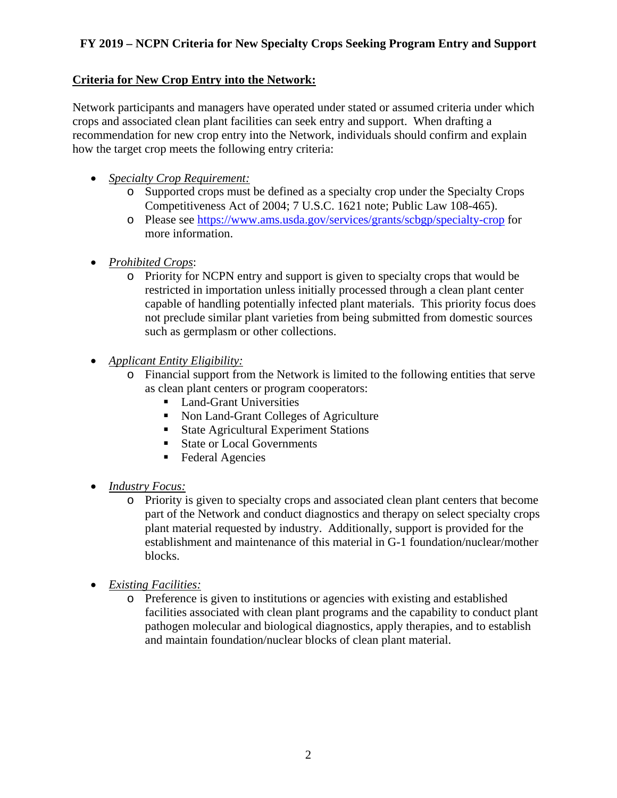#### **Criteria for New Crop Entry into the Network:**

Network participants and managers have operated under stated or assumed criteria under which crops and associated clean plant facilities can seek entry and support. When drafting a recommendation for new crop entry into the Network, individuals should confirm and explain how the target crop meets the following entry criteria:

- *Specialty Crop Requirement:*
	- o Supported crops must be defined as a specialty crop under the Specialty Crops Competitiveness Act of 2004; 7 U.S.C. 1621 note; Public Law 108-465).
	- o Please see<https://www.ams.usda.gov/services/grants/scbgp/specialty-crop> for more information.
- *Prohibited Crops*:
	- o Priority for NCPN entry and support is given to specialty crops that would be restricted in importation unless initially processed through a clean plant center capable of handling potentially infected plant materials. This priority focus does not preclude similar plant varieties from being submitted from domestic sources such as germplasm or other collections.
- *Applicant Entity Eligibility:*
	- o Financial support from the Network is limited to the following entities that serve as clean plant centers or program cooperators:
		- **Land-Grant Universities**
		- Non Land-Grant Colleges of Agriculture
		- State Agricultural Experiment Stations
		- State or Local Governments
		- Federal Agencies
- *Industry Focus:*
	- o Priority is given to specialty crops and associated clean plant centers that become part of the Network and conduct diagnostics and therapy on select specialty crops plant material requested by industry. Additionally, support is provided for the establishment and maintenance of this material in G-1 foundation/nuclear/mother blocks.
- *Existing Facilities:*
	- o Preference is given to institutions or agencies with existing and established facilities associated with clean plant programs and the capability to conduct plant pathogen molecular and biological diagnostics, apply therapies, and to establish and maintain foundation/nuclear blocks of clean plant material.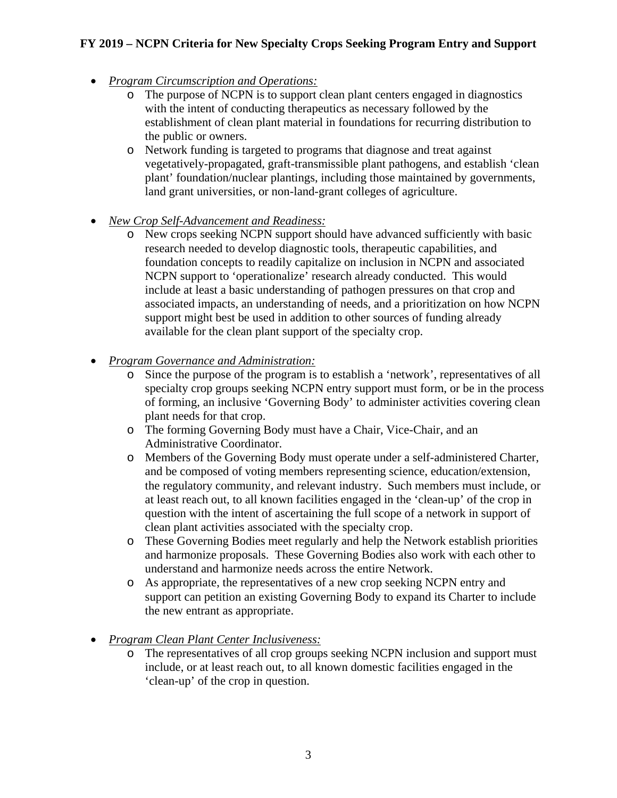- *Program Circumscription and Operations:*
	- o The purpose of NCPN is to support clean plant centers engaged in diagnostics with the intent of conducting therapeutics as necessary followed by the establishment of clean plant material in foundations for recurring distribution to the public or owners.
	- o Network funding is targeted to programs that diagnose and treat against vegetatively-propagated, graft-transmissible plant pathogens, and establish 'clean plant' foundation/nuclear plantings, including those maintained by governments, land grant universities, or non-land-grant colleges of agriculture.
- *New Crop Self-Advancement and Readiness:*
	- o New crops seeking NCPN support should have advanced sufficiently with basic research needed to develop diagnostic tools, therapeutic capabilities, and foundation concepts to readily capitalize on inclusion in NCPN and associated NCPN support to 'operationalize' research already conducted. This would include at least a basic understanding of pathogen pressures on that crop and associated impacts, an understanding of needs, and a prioritization on how NCPN support might best be used in addition to other sources of funding already available for the clean plant support of the specialty crop.
- *Program Governance and Administration:*
	- o Since the purpose of the program is to establish a 'network', representatives of all specialty crop groups seeking NCPN entry support must form, or be in the process of forming, an inclusive 'Governing Body' to administer activities covering clean plant needs for that crop.
	- o The forming Governing Body must have a Chair, Vice-Chair, and an Administrative Coordinator.
	- o Members of the Governing Body must operate under a self-administered Charter, and be composed of voting members representing science, education/extension, the regulatory community, and relevant industry. Such members must include, or at least reach out, to all known facilities engaged in the 'clean-up' of the crop in question with the intent of ascertaining the full scope of a network in support of clean plant activities associated with the specialty crop.
	- o These Governing Bodies meet regularly and help the Network establish priorities and harmonize proposals. These Governing Bodies also work with each other to understand and harmonize needs across the entire Network.
	- o As appropriate, the representatives of a new crop seeking NCPN entry and support can petition an existing Governing Body to expand its Charter to include the new entrant as appropriate.
- *Program Clean Plant Center Inclusiveness:*
	- o The representatives of all crop groups seeking NCPN inclusion and support must include, or at least reach out, to all known domestic facilities engaged in the 'clean-up' of the crop in question.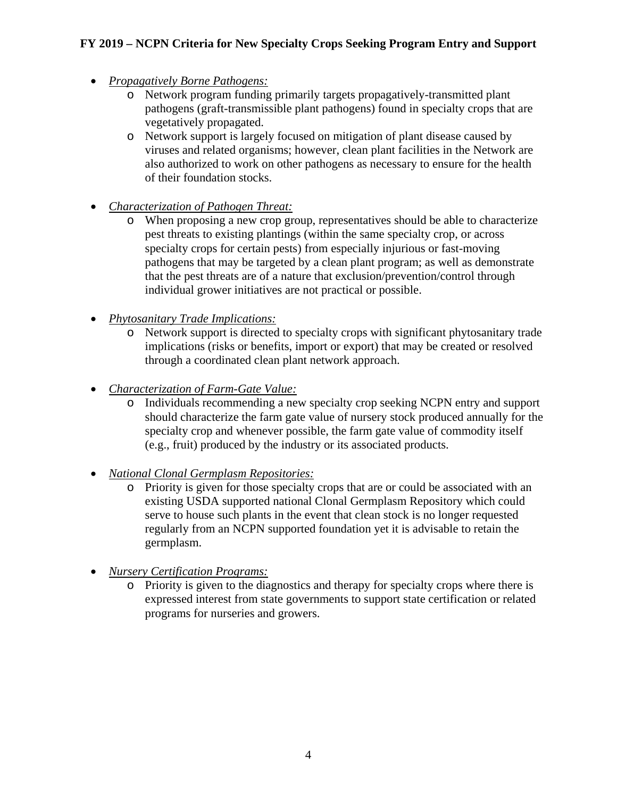- *Propagatively Borne Pathogens:*
	- o Network program funding primarily targets propagatively-transmitted plant pathogens (graft-transmissible plant pathogens) found in specialty crops that are vegetatively propagated.
	- o Network support is largely focused on mitigation of plant disease caused by viruses and related organisms; however, clean plant facilities in the Network are also authorized to work on other pathogens as necessary to ensure for the health of their foundation stocks.
- *Characterization of Pathogen Threat:*
	- o When proposing a new crop group, representatives should be able to characterize pest threats to existing plantings (within the same specialty crop, or across specialty crops for certain pests) from especially injurious or fast-moving pathogens that may be targeted by a clean plant program; as well as demonstrate that the pest threats are of a nature that exclusion/prevention/control through individual grower initiatives are not practical or possible.
- *Phytosanitary Trade Implications:*
	- o Network support is directed to specialty crops with significant phytosanitary trade implications (risks or benefits, import or export) that may be created or resolved through a coordinated clean plant network approach.
- *Characterization of Farm-Gate Value:*
	- o Individuals recommending a new specialty crop seeking NCPN entry and support should characterize the farm gate value of nursery stock produced annually for the specialty crop and whenever possible, the farm gate value of commodity itself (e.g., fruit) produced by the industry or its associated products.
- *National Clonal Germplasm Repositories:*
	- o Priority is given for those specialty crops that are or could be associated with an existing USDA supported national Clonal Germplasm Repository which could serve to house such plants in the event that clean stock is no longer requested regularly from an NCPN supported foundation yet it is advisable to retain the germplasm.
- *Nursery Certification Programs:*
	- o Priority is given to the diagnostics and therapy for specialty crops where there is expressed interest from state governments to support state certification or related programs for nurseries and growers.